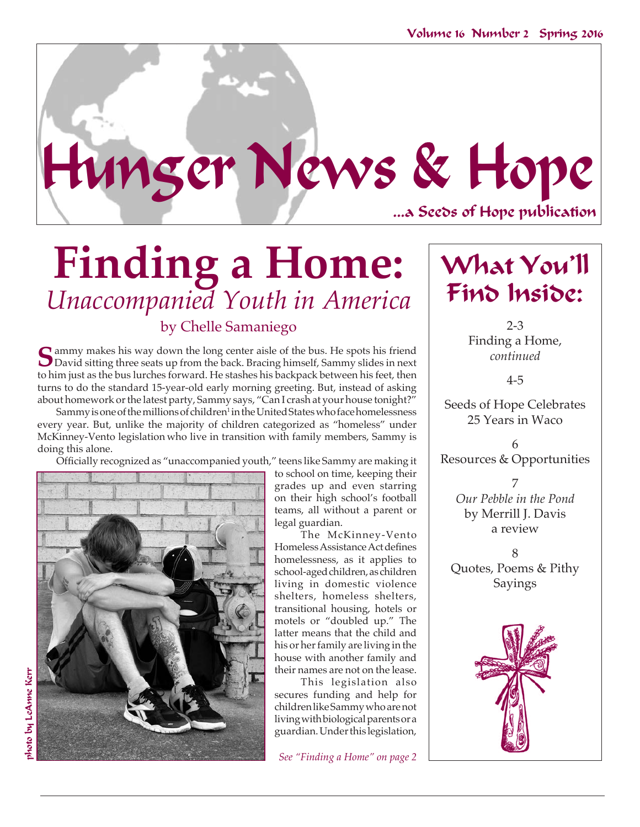

# **Finding a Home:** *Unaccompanied Youth in America* by Chelle Samaniego 2-3

**S**ammy makes his way down the long center aisle of the bus. He spots his friend David sitting three seats up from the back. Bracing himself, Sammy slides in next to him just as the bus lurches forward. He stashes his backpack between his feet, then turns to do the standard 15-year-old early morning greeting. But, instead of asking about homework or the latest party, Sammy says, "Can I crash at your house tonight?"

Sammy is one of the millions of children<sup>1</sup> in the United States who face homelessness every year. But, unlike the majority of children categorized as "homeless" under McKinney-Vento legislation who live in transition with family members, Sammy is doing this alone.

 Officially recognized as "unaccompanied youth," teens like Sammy are making it



to school on time, keeping their grades up and even starring on their high school's football teams, all without a parent or legal guardian.

The McKinney-Vento HomelessAssistanceActdefines homelessness, as it applies to school-aged children, as children living in domestic violence shelters, homeless shelters, transitional housing, hotels or motels or "doubled up." The latter means that the child and his or her family are living in the house with another family and their names are not on the lease.

This legislation also secures funding and help for children like Sammy who are not living with biological parents or a guardian. Under this legislation,

*See "Finding a Home" on page 2*

# What You'll Find Inside:

Finding a Home, *continued*

4-5

Seeds of Hope Celebrates 25 Years in Waco

6 Resources & Opportunities

7 *Our Pebble in the Pond* by Merrill J. Davis a review

8 Quotes, Poems & Pithy Sayings

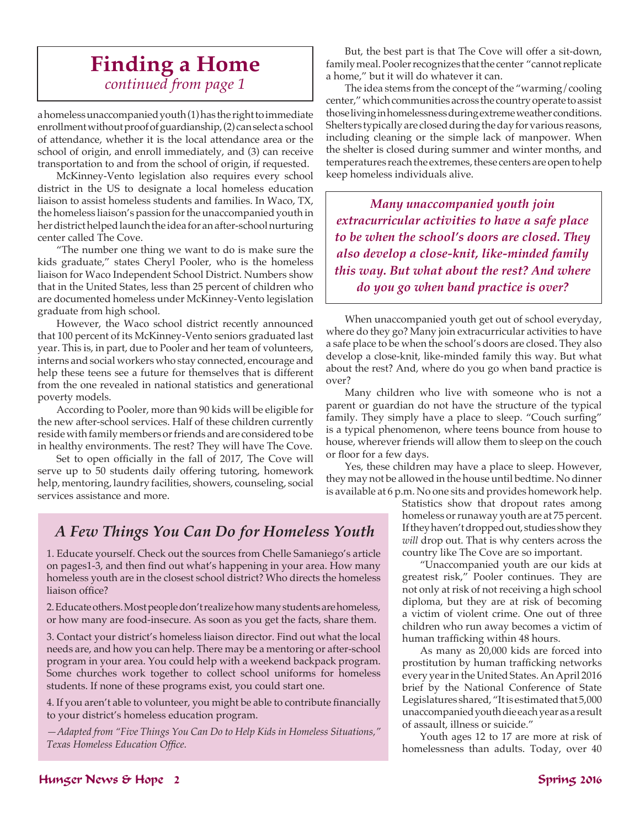### **Finding a Home** *continued from page 1*

a homeless unaccompanied youth (1) has the right to immediate enrollment without proof of guardianship, (2) can select a school of attendance, whether it is the local attendance area or the school of origin, and enroll immediately, and (3) can receive transportation to and from the school of origin, if requested.

McKinney-Vento legislation also requires every school district in the US to designate a local homeless education liaison to assist homeless students and families. In Waco, TX, the homeless liaison's passion for the unaccompanied youth in her district helped launch the idea for an after-school nurturing center called The Cove.

"The number one thing we want to do is make sure the kids graduate," states Cheryl Pooler, who is the homeless liaison for Waco Independent School District. Numbers show that in the United States, less than 25 percent of children who are documented homeless under McKinney-Vento legislation graduate from high school.

However, the Waco school district recently announced that 100 percent of its McKinney-Vento seniors graduated last year. This is, in part, due to Pooler and her team of volunteers, interns and social workers who stay connected, encourage and help these teens see a future for themselves that is different from the one revealed in national statistics and generational poverty models.

According to Pooler, more than 90 kids will be eligible for the new after-school services. Half of these children currently reside with family members or friends and are considered to be in healthy environments. The rest? They will have The Cove.

 Set to open officially in the fall of 2017, The Cove will serve up to 50 students daily offering tutoring, homework help, mentoring, laundry facilities, showers, counseling, social services assistance and more.

But, the best part is that The Cove will offer a sit-down, family meal. Pooler recognizes that the center "cannot replicate a home," but it will do whatever it can.

The idea stems from the concept of the "warming/cooling center," which communities across the country operate to assist those living in homelessness during extreme weather conditions. Shelters typically are closed during the day for various reasons, including cleaning or the simple lack of manpower. When the shelter is closed during summer and winter months, and temperatures reach the extremes, these centers are open to help keep homeless individuals alive.

*Many unaccompanied youth join extracurricular activities to have a safe place to be when the school's doors are closed. They also develop a close-knit, like-minded family this way. But what about the rest? And where do you go when band practice is over?* 

When unaccompanied youth get out of school everyday, where do they go? Many join extracurricular activities to have a safe place to be when the school's doors are closed. They also develop a close-knit, like-minded family this way. But what about the rest? And, where do you go when band practice is over?

Many children who live with someone who is not a parent or guardian do not have the structure of the typical family. They simply have a place to sleep. "Couch surfing" is a typical phenomenon, where teens bounce from house to house, wherever friends will allow them to sleep on the couch or floor for a few days.

Yes, these children may have a place to sleep. However, they may not be allowed in the house until bedtime. No dinner is available at 6 p.m. No one sits and provides homework help.

> Statistics show that dropout rates among homeless or runaway youth are at 75 percent. If they haven't dropped out, studies show they *will* drop out. That is why centers across the country like The Cove are so important.

"Unaccompanied youth are our kids at greatest risk," Pooler continues. They are not only at risk of not receiving a high school diploma, but they are at risk of becoming a victim of violent crime. One out of three children who run away becomes a victim of human trafficking within 48 hours.

As many as 20,000 kids are forced into prostitution by human trafficking networks every year in the United States. An April 2016 brief by the National Conference of State Legislatures shared, "It is estimated that 5,000 unaccompanied youth die each year as a result of assault, illness or suicide."

Youth ages 12 to 17 are more at risk of homelessness than adults. Today, over 40

### *A Few Things You Can Do for Homeless Youth*

1. Educate yourself. Check out the sources from Chelle Samaniego's article on pages1-3, and then find out what's happening in your area. How many homeless youth are in the closest school district? Who directs the homeless liaison office?

2. Educate others. Most people don't realize how many students are homeless, or how many are food-insecure. As soon as you get the facts, share them.

3. Contact your district's homeless liaison director. Find out what the local needs are, and how you can help. There may be a mentoring or after-school program in your area. You could help with a weekend backpack program. Some churches work together to collect school uniforms for homeless students. If none of these programs exist, you could start one.

4. If you aren't able to volunteer, you might be able to contribute financially to your district's homeless education program.

*—Adapted from "Five Things You Can Do to Help Kids in Homeless Situations," Texas Homeless Education Office.*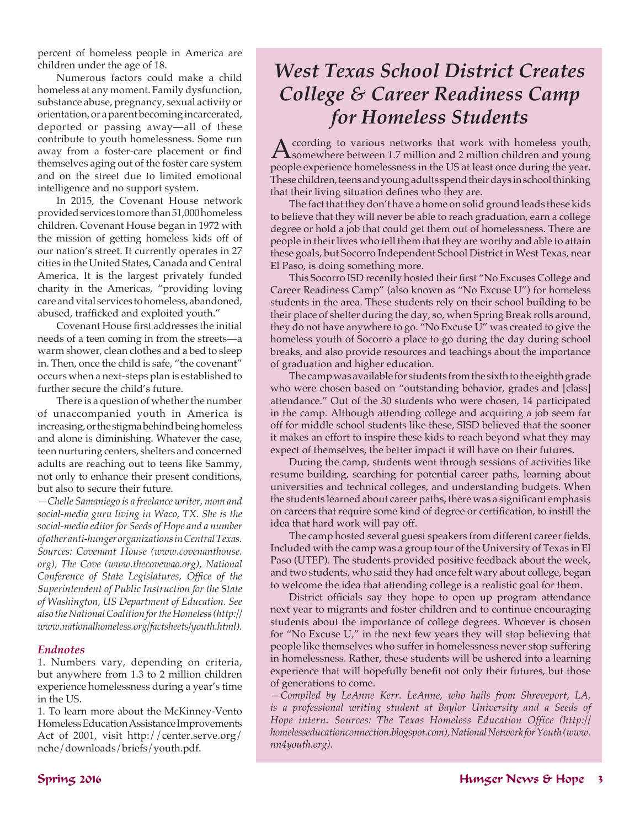percent of homeless people in America are children under the age of 18.

Numerous factors could make a child homeless at any moment. Family dysfunction, substance abuse, pregnancy, sexual activity or orientation, or a parent becoming incarcerated, deported or passing away—all of these contribute to youth homelessness. Some run away from a foster-care placement or find themselves aging out of the foster care system and on the street due to limited emotional intelligence and no support system.

In 2015, the Covenant House network provided services to more than 51,000 homeless children. Covenant House began in 1972 with the mission of getting homeless kids off of our nation's street. It currently operates in 27 cities in the United States, Canada and Central America. It is the largest privately funded charity in the Americas, "providing loving care and vital services to homeless, abandoned, abused, trafficked and exploited youth."

Covenant House first addresses the initial needs of a teen coming in from the streets—a warm shower, clean clothes and a bed to sleep in. Then, once the child is safe, "the covenant" occurs when a next-steps plan is established to further secure the child's future.

There is a question of whether the number of unaccompanied youth in America is increasing, or the stigma behind being homeless and alone is diminishing. Whatever the case, teen nurturing centers, shelters and concerned adults are reaching out to teens like Sammy, not only to enhance their present conditions, but also to secure their future.

*—Chelle Samaniego is a freelance writer, mom and social-media guru living in Waco, TX. She is the social-media editor for Seeds of Hope and a number of other anti-hunger organizations in Central Texas. Sources: Covenant House (www.covenanthouse. org), The Cove (www.thecovewao.org), National Conference of State Legislatures, Office of the Superintendent of Public Instruction for the State of Washington, US Department of Education. See also the National Coalition for the Homeless (http:// www.nationalhomeless.org/factsheets/youth.html).*

#### *Endnotes*

1. Numbers vary, depending on criteria, but anywhere from 1.3 to 2 million children experience homelessness during a year's time in the US.

1. To learn more about the McKinney-Vento Homeless Education Assistance Improvements Act of 2001, visit http://center.serve.org/ nche/downloads/briefs/youth.pdf.

## *West Texas School District Creates College & Career Readiness Camp for Homeless Students*

According to various networks that work with homeless youth, Somewhere between 1.7 million and 2 million children and young people experience homelessness in the US at least once during the year. These children, teens and young adults spend their days in school thinking that their living situation defines who they are.

The fact that they don't have a home on solid ground leads these kids to believe that they will never be able to reach graduation, earn a college degree or hold a job that could get them out of homelessness. There are people in their lives who tell them that they are worthy and able to attain these goals, but Socorro Independent School District in West Texas, near El Paso, is doing something more.

This Socorro ISD recently hosted their first "No Excuses College and Career Readiness Camp" (also known as "No Excuse U") for homeless students in the area. These students rely on their school building to be their place of shelter during the day, so, when Spring Break rolls around, they do not have anywhere to go. "No Excuse U" was created to give the homeless youth of Socorro a place to go during the day during school breaks, and also provide resources and teachings about the importance of graduation and higher education.

The camp was available for students from the sixth to the eighth grade who were chosen based on "outstanding behavior, grades and [class] attendance." Out of the 30 students who were chosen, 14 participated in the camp. Although attending college and acquiring a job seem far off for middle school students like these, SISD believed that the sooner it makes an effort to inspire these kids to reach beyond what they may expect of themselves, the better impact it will have on their futures.

During the camp, students went through sessions of activities like resume building, searching for potential career paths, learning about universities and technical colleges, and understanding budgets. When the students learned about career paths, there was a significant emphasis on careers that require some kind of degree or certification, to instill the idea that hard work will pay off.

The camp hosted several guest speakers from different career fields. Included with the camp was a group tour of the University of Texas in El Paso (UTEP). The students provided positive feedback about the week, and two students, who said they had once felt wary about college, began to welcome the idea that attending college is a realistic goal for them.

District officials say they hope to open up program attendance next year to migrants and foster children and to continue encouraging students about the importance of college degrees. Whoever is chosen for "No Excuse U," in the next few years they will stop believing that people like themselves who suffer in homelessness never stop suffering in homelessness. Rather, these students will be ushered into a learning experience that will hopefully benefit not only their futures, but those of generations to come.

*—Compiled by LeAnne Kerr. LeAnne, who hails from Shreveport, LA, is a professional writing student at Baylor University and a Seeds of Hope intern. Sources: The Texas Homeless Education Office (http:// homelesseducationconnection.blogspot.com), National Network for Youth (www. nn4youth.org).*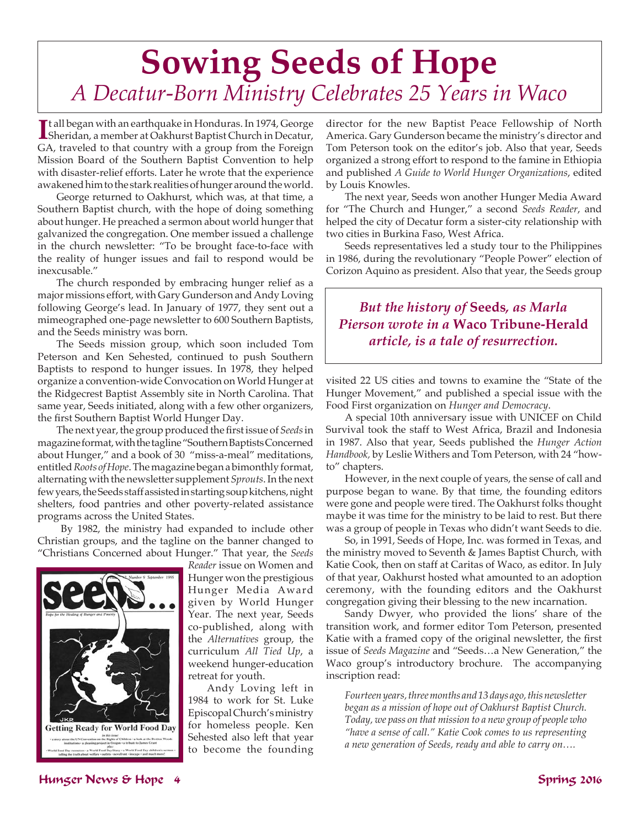# **Sowing Seeds of Hope** *A Decatur-Born Ministry Celebrates 25 Years in Waco*

**I** t all began with an earthquake in Honduras. In 1974, George Sheridan, a member at Oakhurst Baptist Church in Decatur, GA, traveled to that country with a group from the Foreign Mission Board of the Southern Baptist Convention to help with disaster-relief efforts. Later he wrote that the experience awakened him to the stark realities of hunger around the world.

George returned to Oakhurst, which was, at that time, a Southern Baptist church, with the hope of doing something about hunger. He preached a sermon about world hunger that galvanized the congregation. One member issued a challenge in the church newsletter: "To be brought face-to-face with the reality of hunger issues and fail to respond would be inexcusable."

The church responded by embracing hunger relief as a major missions effort, with Gary Gunderson and Andy Loving following George's lead. In January of 1977, they sent out a mimeographed one-page newsletter to 600 Southern Baptists, and the Seeds ministry was born.

The Seeds mission group, which soon included Tom Peterson and Ken Sehested, continued to push Southern Baptists to respond to hunger issues. In 1978, they helped organize a convention-wide Convocation on World Hunger at the Ridgecrest Baptist Assembly site in North Carolina. That same year, Seeds initiated, along with a few other organizers, the first Southern Baptist World Hunger Day.

The next year, the group produced the first issue of *Seeds* in magazine format, with the tagline "Southern Baptists Concerned about Hunger," and a book of 30 "miss-a-meal" meditations, entitled *Roots of Hope*. The magazine began a bimonthly format, alternating with the newsletter supplement *Sprouts*. In the next few years, the Seeds staff assisted in starting soup kitchens, night shelters, food pantries and other poverty-related assistance programs across the United States.

 By 1982, the ministry had expanded to include other Christian groups, and the tagline on the banner changed to "Christians Concerned about Hunger." That year, the *Seeds* 



*Reader* issue on Women and Hunger won the prestigious Hunger Media Award given by World Hunger Year. The next year, Seeds co-published, along with the *Alternatives* group, the curriculum *All Tied Up*, a weekend hunger-education retreat for youth.

Andy Loving left in 1984 to work for St. Luke Episcopal Church's ministry for homeless people. Ken Sehested also left that year to become the founding director for the new Baptist Peace Fellowship of North America. Gary Gunderson became the ministry's director and Tom Peterson took on the editor's job. Also that year, Seeds organized a strong effort to respond to the famine in Ethiopia and published *A Guide to World Hunger Organizations*, edited by Louis Knowles.

The next year, Seeds won another Hunger Media Award for "The Church and Hunger," a second *Seeds Reader*, and helped the city of Decatur form a sister-city relationship with two cities in Burkina Faso, West Africa.

Seeds representatives led a study tour to the Philippines in 1986, during the revolutionary "People Power" election of Corizon Aquino as president. Also that year, the Seeds group

### *But the history of* **Seeds***, as Marla Pierson wrote in a* **Waco Tribune-Herald** *article, is a tale of resurrection.*

visited 22 US cities and towns to examine the "State of the Hunger Movement," and published a special issue with the Food First organization on *Hunger and Democracy*.

A special 10th anniversary issue with UNICEF on Child Survival took the staff to West Africa, Brazil and Indonesia in 1987. Also that year, Seeds published the *Hunger Action Handbook,* by Leslie Withers and Tom Peterson, with 24 "howto" chapters.

However, in the next couple of years, the sense of call and purpose began to wane. By that time, the founding editors were gone and people were tired. The Oakhurst folks thought maybe it was time for the ministry to be laid to rest. But there was a group of people in Texas who didn't want Seeds to die.

So, in 1991, Seeds of Hope, Inc. was formed in Texas, and the ministry moved to Seventh & James Baptist Church, with Katie Cook, then on staff at Caritas of Waco, as editor. In July of that year, Oakhurst hosted what amounted to an adoption ceremony, with the founding editors and the Oakhurst congregation giving their blessing to the new incarnation.

Sandy Dwyer, who provided the lions' share of the transition work, and former editor Tom Peterson, presented Katie with a framed copy of the original newsletter, the first issue of *Seeds Magazine* and "Seeds…a New Generation," the Waco group's introductory brochure. The accompanying inscription read:

*Fourteen years, three months and 13 days ago, this newsletter began as a mission of hope out of Oakhurst Baptist Church. Today, we pass on that mission to a new group of people who "have a sense of call." Katie Cook comes to us representing a new generation of Seeds, ready and able to carry on….*

### Hunger News & Hope 4 Spring 2016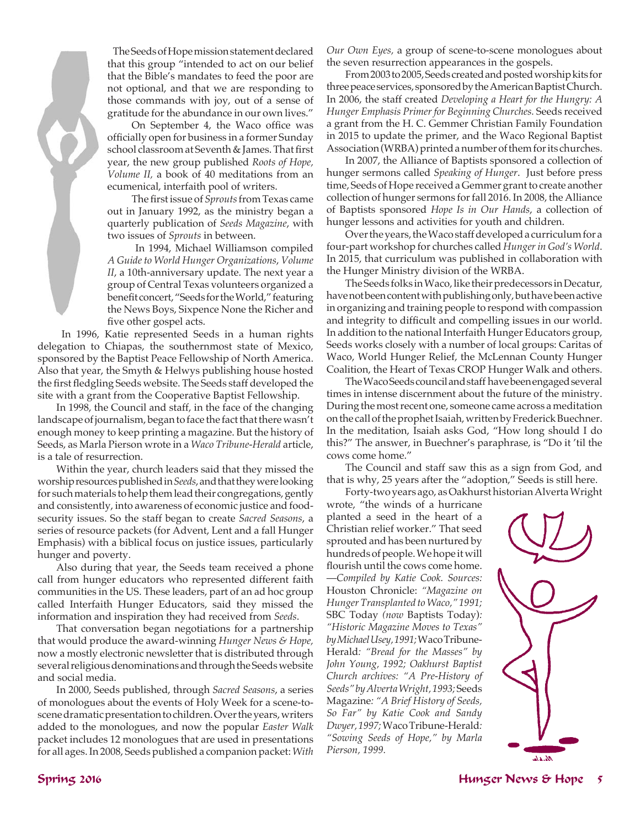

The Seeds of Hope mission statement declared that this group "intended to act on our belief that the Bible's mandates to feed the poor are not optional, and that we are responding to those commands with joy, out of a sense of gratitude for the abundance in our own lives."

 On September 4, the Waco office was officially open for business in a former Sunday school classroom at Seventh & James. That first year, the new group published *Roots of Hope, Volume II,* a book of 40 meditations from an ecumenical, interfaith pool of writers.

 The firstissue of *Sprouts* from Texas came out in January 1992, as the ministry began a quarterly publication of *Seeds Magazine*, with two issues of *Sprouts* in between.

 In 1994, Michael Williamson compiled *A Guide to World Hunger Organizations*, *Volume II*, a 10th-anniversary update. The next year a group of Central Texas volunteers organized a benefit concert, "Seeds for the World," featuring the News Boys, Sixpence None the Richer and five other gospel acts.

 In 1996, Katie represented Seeds in a human rights delegation to Chiapas, the southernmost state of Mexico, sponsored by the Baptist Peace Fellowship of North America. Also that year, the Smyth & Helwys publishing house hosted the first fledgling Seeds website. The Seeds staff developed the site with a grant from the Cooperative Baptist Fellowship.

In 1998, the Council and staff, in the face of the changing landscape of journalism, began to face the fact that there wasn't enough money to keep printing a magazine. But the history of Seeds, as Marla Pierson wrote in a *Waco Tribune-Herald* article, is a tale of resurrection.

Within the year, church leaders said that they missed the worship resources published in *Seeds*, and that they were looking for such materials to help them lead their congregations, gently and consistently, into awareness of economic justice and foodsecurity issues. So the staff began to create *Sacred Seasons*, a series of resource packets (for Advent, Lent and a fall Hunger Emphasis) with a biblical focus on justice issues, particularly hunger and poverty.

Also during that year, the Seeds team received a phone call from hunger educators who represented different faith communities in the US. These leaders, part of an ad hoc group called Interfaith Hunger Educators, said they missed the information and inspiration they had received from *Seeds*.

That conversation began negotiations for a partnership that would produce the award-winning *Hunger News & Hope,* now a mostly electronic newsletter that is distributed through several religious denominations and through the Seeds website and social media.

In 2000, Seeds published, through *Sacred Seasons*, a series of monologues about the events of Holy Week for a scene-toscene dramatic presentation to children. Over the years, writers added to the monologues, and now the popular *Easter Walk* packet includes 12 monologues that are used in presentations for all ages. In 2008, Seeds published a companion packet: *With* 

*Our Own Eyes,* a group of scene-to-scene monologues about the seven resurrection appearances in the gospels.

From 2003 to 2005, Seeds created and posted worship kits for three peace services, sponsored by the American Baptist Church. In 2006, the staff created *Developing a Heart for the Hungry: A Hunger Emphasis Primer for Beginning Churches.* Seeds received a grant from the H. C. Gemmer Christian Family Foundation in 2015 to update the primer, and the Waco Regional Baptist Association (WRBA) printed a number of them for its churches.

In 2007, the Alliance of Baptists sponsored a collection of hunger sermons called *Speaking of Hunger*. Just before press time, Seeds of Hope received a Gemmer grant to create another collection of hunger sermons for fall 2016. In 2008, the Alliance of Baptists sponsored *Hope Is in Our Hands*, a collection of hunger lessons and activities for youth and children.

Over the years, the Waco staff developed a curriculum for a four-part workshop for churches called *Hunger in God's World*. In 2015, that curriculum was published in collaboration with the Hunger Ministry division of the WRBA.

The Seeds folks in Waco, like their predecessors in Decatur, have not been content with publishing only, but have been active in organizing and training people to respond with compassion and integrity to difficult and compelling issues in our world. In addition to the national Interfaith Hunger Educators group, Seeds works closely with a number of local groups: Caritas of Waco, World Hunger Relief, the McLennan County Hunger Coalition, the Heart of Texas CROP Hunger Walk and others.

The Waco Seeds council and staff have been engaged several times in intense discernment about the future of the ministry. During the most recent one, someone came across a meditation on the call of the prophet Isaiah, written by Frederick Buechner. In the meditation, Isaiah asks God, "How long should I do this?" The answer, in Buechner's paraphrase, is "Do it 'til the cows come home."

The Council and staff saw this as a sign from God, and that is why, 25 years after the "adoption," Seeds is still here.

Forty-two years ago, as Oakhurst historian Alverta Wright

wrote, "the winds of a hurricane planted a seed in the heart of a Christian relief worker." That seed sprouted and has been nurtured by hundreds of people. We hope it will flourish until the cows come home. —*Compiled by Katie Cook. Sources:* Houston Chronicle: *"Magazine on Hunger Transplanted to Waco," 1991;*  SBC Today *(now* Baptists Today)*: "Historic Magazine Moves to Texas" by Michael Usey, 1991;* Waco Tribune-Herald*: "Bread for the Masses" by John Young, 1992; Oakhurst Baptist Church archives: "A Pre-History of Seeds" by Alverta Wright, 1993;* Seeds Magazine*: "A Brief History of Seeds, So Far" by Katie Cook and Sandy Dwyer, 1997;* Waco Tribune-Herald*: "Sowing Seeds of Hope," by Marla Pierson, 1999.* 

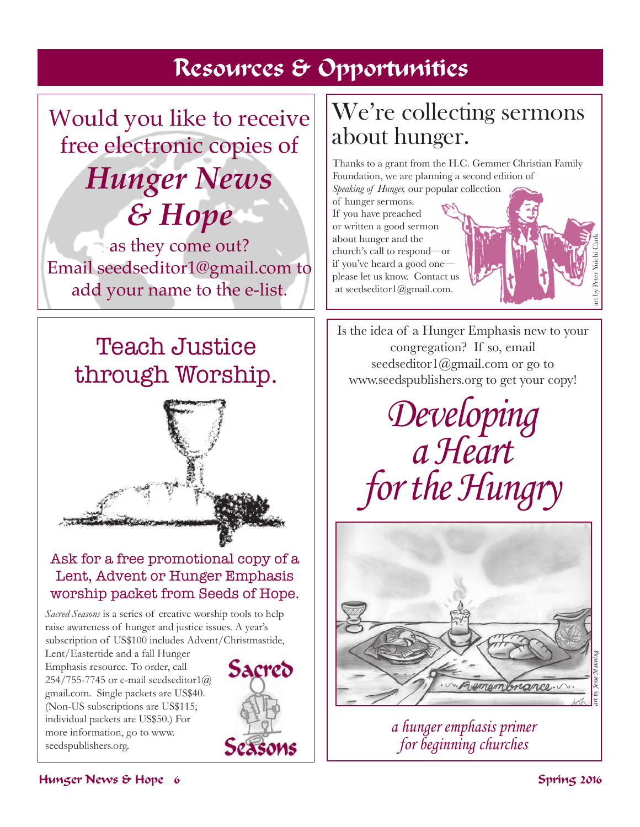## Resources & Opportunities

Would you like to receive free electronic copies of *Hunger News & Hope* 

as they come out? Email seedseditor1@gmail.com to add your name to the e-list.

# Teach Justice through Worship.



### Ask for a free promotional copy of a Lent, Advent or Hunger Emphasis worship packet from Seeds of Hope.

*Sacred Seasons* is a series of creative worship tools to help raise awareness of hunger and justice issues. A year's subscription of US\$100 includes Advent/Christmastide,

Lent/Eastertide and a fall Hunger Emphasis resource. To order, call 254/755-7745 or e-mail seedseditor1 $@$ gmail.com. Single packets are US\$40. (Non-US subscriptions are US\$115; individual packets are US\$50.) For more information, go to www. seedspublishers.org.



# We're collecting sermons about hunger.

Thanks to a grant from the H.C. Gemmer Christian Family Foundation, we are planning a second edition of

*Speaking of Hunger,* our popular collection of hunger sermons. If you have preached or written a good sermon about hunger and the church's call to respond—or if you've heard a good one please let us know. Contact us at seedseditor1@gmail.com.



Is the idea of a Hunger Emphasis new to your congregation? If so, email seedseditor1@gmail.com or go to www.seedspublishers.org to get your copy!

*Developing a Heart for the Hungry*



*a hunger emphasis primer for beginning churches*

### Hunger News & Hope 6 Spring 2016 Spring 2016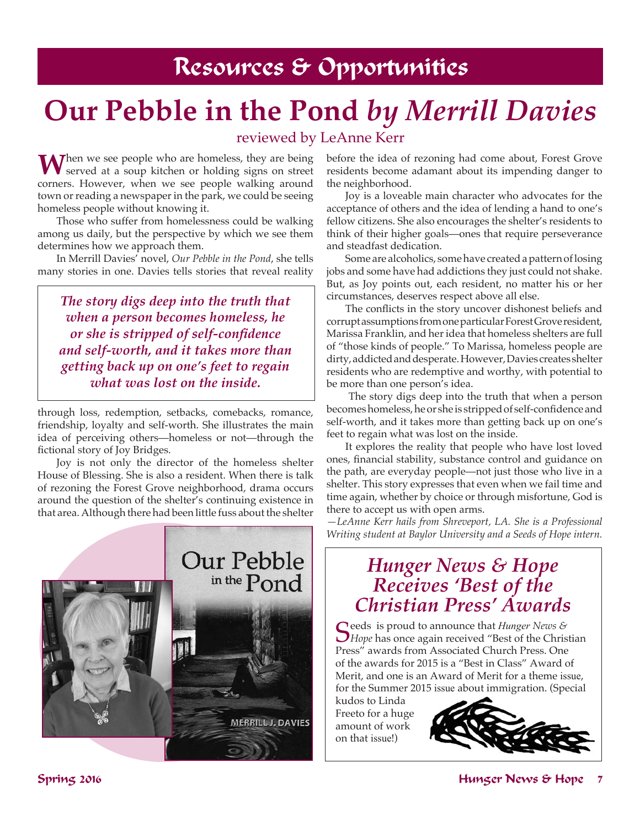# **Our Pebble in the Pond** *by Merrill Davies*

### reviewed by LeAnne Kerr

When we see people who are homeless, they are being served at a soup kitchen or holding signs on street corners. However, when we see people walking around town or reading a newspaper in the park, we could be seeing homeless people without knowing it.

Those who suffer from homelessness could be walking among us daily, but the perspective by which we see them determines how we approach them.

In Merrill Davies' novel, *Our Pebble in the Pond*, she tells many stories in one. Davies tells stories that reveal reality

*The story digs deep into the truth that when a person becomes homeless, he or she is stripped of self-confidence and self-worth, and it takes more than getting back up on one's feet to regain what was lost on the inside.*

through loss, redemption, setbacks, comebacks, romance, friendship, loyalty and self-worth. She illustrates the main idea of perceiving others—homeless or not—through the fictional story of Joy Bridges.

Joy is not only the director of the homeless shelter House of Blessing. She is also a resident. When there is talk of rezoning the Forest Grove neighborhood, drama occurs around the question of the shelter's continuing existence in that area. Although there had been little fuss about the shelter



before the idea of rezoning had come about, Forest Grove residents become adamant about its impending danger to the neighborhood.

Joy is a loveable main character who advocates for the acceptance of others and the idea of lending a hand to one's fellow citizens. She also encourages the shelter's residents to think of their higher goals—ones that require perseverance and steadfast dedication.

Some are alcoholics, some have created a pattern of losing jobs and some have had addictions they just could not shake. But, as Joy points out, each resident, no matter his or her circumstances, deserves respect above all else.

 The conflicts in the story uncover dishonest beliefs and corrupt assumptions from one particular Forest Grove resident, Marissa Franklin, and her idea that homeless shelters are full of "those kinds of people." To Marissa, homeless people are dirty, addicted and desperate. However, Davies creates shelter residents who are redemptive and worthy, with potential to be more than one person's idea.

 The story digs deep into the truth that when a person becomeshomeless,heor she is strippedof self-confidenceand self-worth, and it takes more than getting back up on one's feet to regain what was lost on the inside.

It explores the reality that people who have lost loved ones, financial stability, substance control and guidance on the path, are everyday people—not just those who live in a shelter. This story expresses that even when we fail time and time again, whether by choice or through misfortune, God is there to accept us with open arms.

*—LeAnne Kerr hails from Shreveport, LA. She is a Professional Writing student at Baylor University and a Seeds of Hope intern.*

## *Hunger News & Hope Receives 'Best of the Christian Press' Awards*

Seeds is proud to announce that *Hunger* News & *Hope* has once again received "Best of the Christian Press" awards from Associated Church Press. One of the awards for 2015 is a "Best in Class" Award of Merit, and one is an Award of Merit for a theme issue, for the Summer 2015 issue about immigration. (Special

kudos to Linda Freeto for a huge amount of work on that issue!)